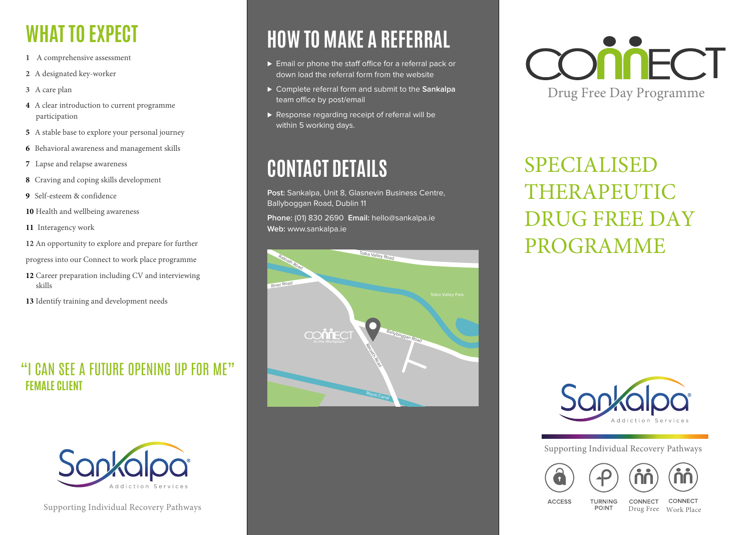## **WHAT TO EXPECT**

- **1** A comprehensive assessment
- **2** A designated key-worker
- **3** A care plan
- **4** A clear introduction to current programme participation
- **5** A stable base to explore your personal journey
- **6** Behavioral awareness and management skills
- **7** Lapse and relapse awareness
- **8** Craving and coping skills development
- **9** Self-esteem & confidence
- **10** Health and wellbeing awareness
- **11** Interagency work
- **12** An opportunity to explore and prepare for further
- progress into our Connect to work place programme
- **12** Career preparation including CV and interviewing skills
- **13** Identify training and development needs

### "I CAN SEE A FUTURE OPENING UP FOR ME" **FEMALE CLIENT**



Supporting Individual Recovery Pathways

### **HOW TO MAKE A REFERRAL**

- ► Email or phone the staff office for a referral pack or down load the referral form from the website
- ⊲ Complete referral form and submit to the **Sankalpa** team office by post/email
- ▶ Response regarding receipt of referral will be within 5 working days.

### **CONTACT DETAILS**

**Post:** Sankalpa, Unit 8, Glasnevin Business Centre, Ballyboggan Road, Dublin 11

**Phone:** (01) 830 2690 **Email:** hello@sankalpa.ie **Web:** www.sankalpa.ie





SPECIALISED THERAPEUTIC DRUG FREE DAY PROGRAMME



Supporting Individual Recovery Pathways

TURNING

**POINT** 





**ACCESS** 

CONNECT

CONNECT Drug Free Work Place